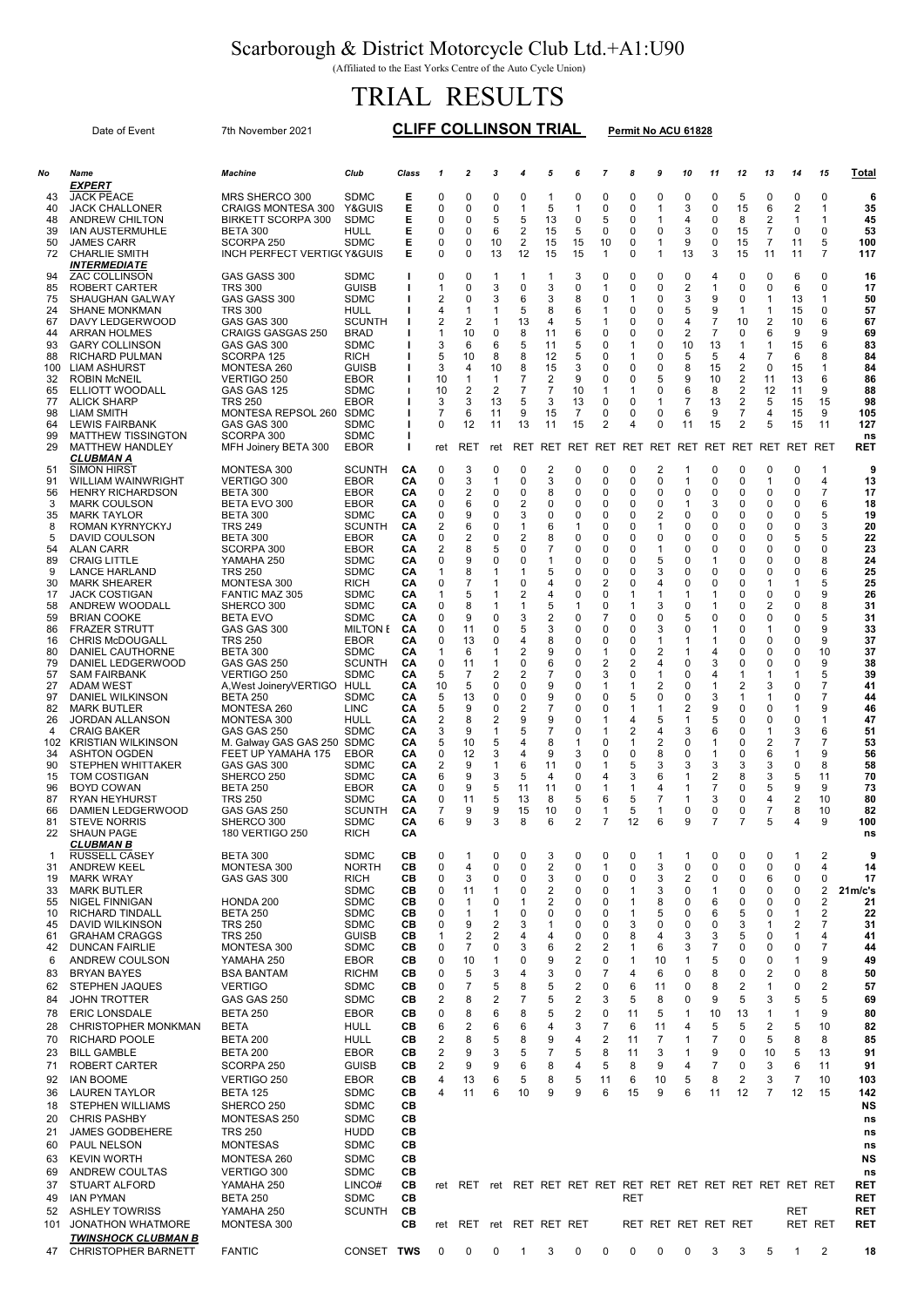## Scarborough & District Motorcycle Club Ltd.+A1:U90

(Affiliated to the East Yorks Centre of the Auto Cycle Union)

## TRIAL RESULTS

Date of Event 7th November 2021 CLIFF COLLINSON TRIAL Permit No ACU 61828

| No        | Name                                               | <b>Machine</b>                                   | Club                         | Class    | $\mathbf{1}$     | $\boldsymbol{2}$             | 3              | 4                   | 5                   | 6              | 7                   | 8           | 9                          | 10                  | 11                  | 12           | 13         | 14                | 15                            | Total                    |
|-----------|----------------------------------------------------|--------------------------------------------------|------------------------------|----------|------------------|------------------------------|----------------|---------------------|---------------------|----------------|---------------------|-------------|----------------------------|---------------------|---------------------|--------------|------------|-------------------|-------------------------------|--------------------------|
| 43        | EXPERT<br><b>JACK PEACE</b>                        | MRS SHERCO 300                                   | <b>SDMC</b>                  | Е        | 0                | $\mathbf 0$                  | 0              | 0                   | $\mathbf{1}$        | 0              | $\Omega$            | 0           | 0                          | 0                   | 0                   | 5            | 0          | 0                 | 0                             | 6                        |
| 40        | <b>JACK CHALLONER</b>                              | <b>CRAIGS MONTESA 300</b>                        | Y&GUIS                       | Е        | 0                | $\mathbf 0$                  | 0              | 1                   | 5                   | $\mathbf{1}$   | 0                   | $\mathbf 0$ | $\mathbf{1}$               | 3                   | 0                   | 15           | 6          | $\overline{2}$    | 1                             | 35                       |
| 48<br>39  | <b>ANDREW CHILTON</b><br><b>IAN AUSTERMUHLE</b>    | <b>BIRKETT SCORPA 300</b><br>BETA 300            | <b>SDMC</b><br><b>HULL</b>   | Е<br>Е   | 0<br>0           | 0<br>$\mathbf 0$             | 5<br>6         | 5<br>2              | 13<br>15            | 0<br>5         | 5<br>0              | 0<br>0      | $\mathbf{1}$<br>0          | 4<br>3              | 0<br>0              | 8<br>15      | 2<br>7     | 1<br>0            | 1<br>0                        | 45<br>53                 |
| 50        | <b>JAMES CARR</b>                                  | SCORPA 250                                       | <b>SDMC</b>                  | Ε        | 0                | 0                            | 10             | 2                   | 15                  | 15             | 10                  | 0           | 1                          | 9                   | 0                   | 15           | 7          | 11                | 5                             | 100                      |
| 72        | <b>CHARLIE SMITH</b><br>INTERMEDIATE               | <b>INCH PERFECT VERTIG(Y&amp;GUIS</b>            |                              | Е        | 0                | $\mathbf 0$                  | 13             | 12                  | 15                  | 15             | 1                   | 0           | $\mathbf 1$                | 13                  | 3                   | 15           | 11         | 11                | 7                             | 117                      |
| 94        | <b>ZAC COLLINSON</b>                               | GAS GASS 300                                     | <b>SDMC</b>                  |          | 0                | $\mathbf 0$                  | 1              | 1                   | -1                  | 3              | $\mathbf 0$         | 0           | $\mathbf 0$                | 0                   | 4                   | 0            | 0          | 6                 | 0                             | 16                       |
| 85<br>75  | ROBERT CARTER<br>SHAUGHAN GALWAY                   | <b>TRS 300</b><br>GAS GASS 300                   | <b>GUISB</b><br><b>SDMC</b>  |          | -1<br>2          | $\mathbf 0$<br>$\mathbf 0$   | 3<br>3         | 0<br>6              | 3<br>3              | 0<br>8         | 1<br>0              | 0<br>1      | $\mathbf 0$<br>$\mathbf 0$ | $\overline{2}$<br>3 | 1<br>9              | 0<br>0       | 0<br>1     | 6<br>13           | 0<br>1                        | 17<br>50                 |
| 24        | <b>SHANE MONKMAN</b>                               | <b>TRS 300</b>                                   | <b>HULL</b>                  |          | 4                | -1                           | 1              | 5                   | 8                   | 6              | 1                   | 0           | 0                          | 5                   | 9                   | $\mathbf{1}$ | 1          | 15                | 0                             | 57                       |
| 67<br>44  | DAVY LEDGERWOOD<br><b>ARRAN HOLMES</b>             | GAS GAS 300<br><b>CRAIGS GASGAS 250</b>          | <b>SCUNTH</b><br><b>BRAD</b> |          | 2<br>-1          | 2<br>10                      | 1<br>0         | 13<br>8             | 4<br>11             | 5<br>6         | 1<br>0              | 0<br>0      | 0<br>$\mathbf 0$           | 4<br>$\overline{2}$ | 7<br>$\overline{7}$ | 10<br>0      | 2<br>6     | 10<br>9           | 6<br>9                        | 67<br>69                 |
| 93        | <b>GARY COLLINSON</b>                              | GAS GAS 300                                      | <b>SDMC</b>                  |          | 3                | 6                            | 6              | 5                   | 11                  | 5              | O                   | -1          | 0                          | 10                  | 13                  | 1            | 1          | 15                | 6                             | 83                       |
| 88<br>100 | RICHARD PULMAN<br><b>LIAM ASHURST</b>              | SCORPA 125<br>MONTESA 260                        | <b>RICH</b><br><b>GUISB</b>  |          | 5<br>3           | 10<br>4                      | 8<br>10        | 8<br>8              | 12<br>15            | 5<br>3         | 0<br>0              | -1<br>0     | $\mathbf 0$<br>0           | 5<br>8              | 5<br>15             | 4<br>2       | 7<br>0     | 6<br>15           | 8<br>1                        | 84<br>84                 |
| 32        | <b>ROBIN MCNEIL</b>                                | VERTIGO 250                                      | <b>EBOR</b>                  |          | 10               | -1                           | 1              | 7                   | 2                   | 9              | 0                   | 0           | 5                          | 9                   | 10                  | 2            | 11         | 13                | 6                             | 86                       |
| 65<br>77  | ELLIOTT WOODALL<br><b>ALICK SHARP</b>              | GAS GAS 125<br><b>TRS 250</b>                    | <b>SDMC</b><br><b>EBOR</b>   |          | 10<br>3          | $\overline{2}$<br>3          | 2<br>13        | $\overline{7}$<br>5 | $\overline{7}$<br>3 | 10<br>13       | 1<br>0              | 1<br>0      | 0<br>1                     | 6<br>$\overline{7}$ | 8<br>13             | 2<br>2       | 12<br>5    | 11<br>15          | 9<br>15                       | 88<br>98                 |
| 98        | LIAM SMITH                                         | MONTESA REPSOL 260 SDMC                          |                              |          | 7                | 6                            | 11             | 9                   | 15                  | $\overline{7}$ | 0                   | 0           | 0                          | 6                   | 9                   | 7            | 4          | 15                | 9                             | 105                      |
| 64<br>99  | <b>LEWIS FAIRBANK</b><br><b>MATTHEW TISSINGTON</b> | GAS GAS 300<br>SCORPA 300                        | <b>SDMC</b><br><b>SDMC</b>   |          | 0                | 12                           | 11             | 13                  | 11                  | 15             | $\overline{c}$      | 4           | 0                          | 11                  | 15                  | 2            | 5          | 15                | 11                            | 127<br>ns                |
| 29        | <b>MATTHEW HANDLEY</b>                             | MFH Joinery BETA 300                             | <b>EBOR</b>                  | ı        | ret              | RET                          | ret            | <b>RET</b>          | RET                 | RET            | RET                 | RET         | RET                        | <b>RET</b>          | <b>RET</b>          | <b>RET</b>   | <b>RET</b> | <b>RET</b>        | <b>RET</b>                    | RET                      |
| 51        | CLUBMAN A<br><b>SIMON HIRST</b>                    | MONTESA 300                                      | <b>SCUNTH</b>                | CА       | 0                | 3                            | 0              | 0                   | 2                   | 0              | 0                   | 0           | $\overline{2}$             | 1                   | 0                   | 0            | 0          | 0                 | 1                             | 9                        |
| 91        | WILLIAM WAINWRIGHT                                 | <b>VERTIGO 300</b>                               | <b>EBOR</b>                  | CА       | 0                | 3                            | 1              | 0                   | 3                   | 0              | 0                   | 0           | 0                          | 1                   | 0                   | 0            | 1          | 0                 | 4                             | 13                       |
| 56        | <b>HENRY RICHARDSON</b>                            | BETA 300<br><b>BETA EVO 300</b>                  | EBOR                         | CА       | 0                | $\overline{2}$               | 0              | 0                   | 8                   | 0              | 0                   | 0           | $\mathbf 0$                | 0<br>1              | 0                   | 0            | 0          | 0                 | $\overline{7}$                | 17                       |
| 3<br>35   | <b>MARK COULSON</b><br><b>MARK TAYLOR</b>          | <b>BETA 300</b>                                  | EBOR<br><b>SDMC</b>          | CА<br>CА | 0<br>0           | 6<br>9                       | 0<br>0         | 2<br>3              | 0<br>0              | 0<br>0         | 0<br>$\Omega$       | 0<br>0      | 0<br>2                     | 0                   | 3<br>0              | 0<br>0       | 0<br>0     | 0<br>0            | 6<br>5                        | 18<br>19                 |
| 8         | ROMAN KYRNYCKYJ                                    | <b>TRS 249</b>                                   | <b>SCUNTH</b>                | CА       | 2                | 6                            | 0              | 1                   | 6                   | 1              | 0<br>$\Omega$       | 0           | 1                          | 0<br>$\Omega$       | 0                   | 0            | 0          | 0                 | 3                             | 20                       |
| 5<br>54   | DAVID COULSON<br>ALAN CARR                         | <b>BETA 300</b><br>SCORPA 300                    | <b>EBOR</b><br>EBOR          | CА<br>CА | 0<br>2           | $\overline{\mathbf{c}}$<br>8 | 0<br>5         | 2<br>0              | 8<br>$\overline{7}$ | 0<br>0         | 0                   | 0<br>0      | 0<br>1                     | 0                   | 0<br>0              | 0<br>0       | 0<br>0     | 5<br>0            | 5<br>0                        | 22<br>23                 |
| 89        | <b>CRAIG LITTLE</b>                                | YAMAHA 250                                       | <b>SDMC</b>                  | CА       | 0                | 9                            | 0              | 0                   | 1                   | 0              | 0                   | 0           | 5                          | 0                   | 1                   | 0            | 0          | 0                 | 8                             | 24                       |
| 9<br>30   | <b>LANCE HARLAND</b><br><b>MARK SHEARER</b>        | <b>TRS 250</b><br>MONTESA 300                    | <b>SDMC</b><br><b>RICH</b>   | CА<br>СА | 1<br>0           | 8<br>7                       | 1<br>1         | 1<br>0              | 5<br>4              | 0<br>0         | $\Omega$<br>2       | 0<br>0      | 3<br>4                     | 0<br>0              | 0<br>0              | 0<br>0       | 0<br>1     | 0<br>-1           | 6<br>5                        | 25<br>25                 |
| 17        | <b>JACK COSTIGAN</b>                               | <b>FANTIC MAZ 305</b>                            | <b>SDMC</b>                  | CА       | 1                | 5                            | 1              | 2                   | 4                   | 0              | 0                   | -1          | 1                          | 1                   | 1                   | 0            | 0          | 0                 | 9                             | 26                       |
| 58<br>59  | ANDREW WOODALL<br><b>BRIAN COOKE</b>               | SHERCO 300<br><b>BETA EVO</b>                    | <b>SDMC</b><br><b>SDMC</b>   | CА<br>СΑ | 0<br>0           | 8<br>9                       | 1<br>$\Omega$  | 1<br>3              | 5<br>2              | 1<br>0         | 0<br>7              | -1<br>0     | 3<br>0                     | 0<br>5              | 1<br>0              | 0<br>0       | 2<br>0     | 0<br>0            | 8<br>5                        | 31<br>31                 |
| 86        | <b>FRAZER STRUTT</b>                               | GAS GAS 300                                      | <b>MILTON E</b>              | CA       | 0                | 11                           | 0              | 5                   | 3                   | 0              | 0                   | 0           | 3                          | 0                   | 1                   | 0            | 1          | 0                 | 9                             | 33                       |
| 16<br>80  | <b>CHRIS McDOUGALL</b><br>DANIEL CAUTHORNE         | <b>TRS 250</b><br><b>BETA 300</b>                | EBOR<br><b>SDMC</b>          | CА<br>CА | $\mathbf 0$<br>1 | 13<br>6                      | 0<br>1         | 4<br>2              | 8<br>9              | 0<br>0         | 0<br>1              | 0<br>0      | 1<br>$\overline{c}$        | 1<br>1              | 1<br>4              | 0<br>0       | 0<br>0     | $\Omega$<br>0     | 9<br>10                       | 37<br>37                 |
| 79        | DANIEL LEDGERWOOD                                  | GAS GAS 250                                      | <b>SCUNTH</b>                | CА       | 0                | 11                           | 1              | 0                   | 6                   | 0              | 2                   | 2           | 4                          | 0                   | 3                   | 0            | 0          | 0                 | 9                             | 38                       |
| 57<br>27  | <b>SAM FAIRBANK</b><br>ADAM WEST                   | VERTIGO 250<br>A, West Joinery VERTIGO           | <b>SDMC</b><br>HULL          | CА<br>CА | 5<br>10          | 7<br>5                       | 2<br>0         | 2<br>0              | 7<br>9              | 0<br>0         | 3<br>1              | 0<br>1      | $\mathbf{1}$<br>2          | 0<br>0              | 4<br>1              | 1<br>2       | 1<br>3     | -1<br>0           | 5<br>$\overline{7}$           | 39<br>41                 |
| 97        | DANIEL WILKINSON                                   | <b>BETA 250</b>                                  | <b>SDMC</b>                  | CА       | 5                | 13                           | 0              | 0                   | 9                   | 0              | 0                   | 5           | 0                          | 0                   | 3                   | 1            | -1         | 0                 | $\overline{7}$                | 44                       |
| 82<br>26  | <b>MARK BUTLER</b><br>JORDAN ALLANSON              | MONTESA 260<br>MONTESA 300                       | <b>LINC</b><br>HULL          | CА<br>CА | 5<br>2           | 9<br>8                       | 0<br>2         | 2<br>9              | 7<br>9              | 0<br>$\Omega$  | 0<br>1              | 1<br>4      | 1<br>5                     | 2<br>1              | 9<br>5              | 0<br>0       | 0<br>0     | 0                 | 9<br>1                        | 46<br>47                 |
| 4         | <b>CRAIG BAKER</b>                                 | GAS GAS 250                                      | <b>SDMC</b>                  | СА       | 3                | 9                            | 1              | 5                   | 7                   | 0              | 1                   | 2           | 4                          | 3                   | 6                   | 0            | 1          | 3                 | 6                             | 51                       |
| 102<br>34 | <b>KRISTIAN WILKINSON</b><br><b>ASHTON OGDEN</b>   | M. Galway GAS GAS 250 SDMC<br>FEET UP YAMAHA 175 | EBOR                         | CА<br>CА | 5<br>0           | 10<br>12                     | 5<br>3         | 4<br>4              | 8<br>9              | 1<br>3         | 0<br>0              | -1<br>0     | 2<br>8                     | 0<br>$\Omega$       | 1<br>1              | 0<br>0       | 2<br>6     | 7<br>-1           | 7<br>9                        | 53<br>56                 |
| 90        | STEPHEN WHITTAKER                                  | GAS GAS 300                                      | <b>SDMC</b>                  | CА       | 2                | 9                            | 1              | 6                   | 11                  | 0              | 1                   | 5           | 3                          | 3                   | 3                   | 3            | 3          | 0                 | 8                             | 58                       |
| 15<br>96  | <b>TOM COSTIGAN</b><br><b>BOYD COWAN</b>           | SHERCO 250<br><b>BETA 250</b>                    | <b>SDMC</b><br><b>EBOR</b>   | CА<br>CА | 6<br>0           | 9<br>9                       | 3<br>5         | 5<br>11             | 4<br>11             | $\Omega$<br>0  | 4<br>1              | 3<br>1      | 6<br>4                     | 1<br>1              | 2<br>$\overline{7}$ | 8<br>0       | 3<br>5     | 5<br>9            | 11<br>9                       | 70<br>73                 |
| 87        | RYAN HEYHURST                                      | <b>TRS 250</b>                                   | <b>SDMC</b>                  | CА       | 0                | 11                           | 5              | 13                  | 8                   | 5              | 6                   | 5           | 7                          | 1                   | 3                   | 0            | 4          | 2                 | 10                            | 80                       |
| 66<br>81  | DAMIEN LEDGERWOOD<br><b>STEVE NORRIS</b>           | GAS GAS 250<br>SHERCO 300                        | SCUNTH<br><b>SDMC</b>        | CА<br>СА | 7<br>6           | 9<br>9                       | 9<br>3         | 15<br>8             | 10<br>6             | 0<br>2         | 7                   | 5<br>12     | 1<br>6                     | 0<br>9              | 0<br>$\overline{7}$ | 0<br>7       | 7<br>5     | 8                 | 10<br>9                       | 82<br>100                |
| 22        | <b>SHAUN PAGE</b>                                  | <b>180 VERTIGO 250</b>                           | <b>RICH</b>                  | CА       |                  |                              |                |                     |                     |                |                     |             |                            |                     |                     |              |            |                   |                               | ns                       |
| -1        | CLUBMAN B<br><b>RUSSELL CASEY</b>                  | <b>BETA 300</b>                                  | <b>SDMC</b>                  | CВ       | $\mathbf 0$      | 1                            | $\Omega$       | 0                   | 3                   | 0              | $\mathbf 0$         | 0           | 1                          | 1                   | 0                   | 0            | 0          |                   | 2                             | 9                        |
| 31        | <b>ANDREW KEEL</b>                                 | MONTESA 300                                      | <b>NORTH</b>                 | CВ       | 0                | $\overline{4}$               | 0              | 0                   | 2                   | 0              | 1                   | 0           | 3                          | 0                   | $\mathbf 0$         | 0            | 0          | 0                 | 4                             | 14                       |
| 19<br>33  | MARK WRAY<br><b>MARK BUTLER</b>                    | GAS GAS 300                                      | <b>RICH</b><br><b>SDMC</b>   | CВ<br>CВ | 0<br>0           | 3<br>11                      | 0<br>1         | 0<br>0              | 3<br>2              | 0<br>0         | 0<br>0              | 0<br>-1     | 3<br>3                     | $\overline{2}$<br>0 | 0<br>1              | 0<br>0       | 6<br>0     | 0<br>0            | $\mathbf 0$<br>$\overline{2}$ | 17<br>21m/c's            |
| 55        | <b>NIGEL FINNIGAN</b>                              | HONDA 200                                        | <b>SDMC</b>                  | CВ       | 0                | -1                           | 0              | 1                   | 2                   | 0              | 0                   | -1          | 8                          | 0                   | 6                   | 0            | 0          | 0                 | $\overline{2}$                | 21                       |
| 10<br>45  | RICHARD TINDALL<br>DAVID WILKINSON                 | <b>BETA 250</b><br><b>TRS 250</b>                | <b>SDMC</b><br><b>SDMC</b>   | CВ<br>CВ | 0<br>$\Omega$    | -1<br>9                      | 1<br>2         | 0<br>3              | 0<br>1              | 0<br>$\Omega$  | 0<br>O              | -1<br>3     | 5<br>0                     | 0<br>0              | 6<br>$\Omega$       | 5<br>3       | 0<br>1     | -1<br>2           | 2<br>$\overline{7}$           | 22<br>31                 |
| 61        | <b>GRAHAM CRAGGS</b>                               | <b>TRS 250</b>                                   | <b>GUISB</b>                 | CВ       | 1                | $\overline{2}$               | $\overline{2}$ | 4                   | 4                   | 0              | 0                   | 8           | 4                          | 3                   | 3                   | 5            | 0          | 1                 | 4                             | 41                       |
| 42<br>6   | <b>DUNCAN FAIRLIE</b><br>ANDREW COULSON            | MONTESA 300<br>YAMAHA 250                        | <b>SDMC</b><br><b>EBOR</b>   | CВ<br>CВ | $\mathbf 0$<br>0 | 7<br>10                      | 0<br>1         | 3<br>0              | 6<br>9              | 2<br>2         | 2<br>0              | 1<br>1      | 6<br>10                    | 3<br>$\mathbf{1}$   | $\overline{7}$<br>5 | 0<br>0       | 0<br>0     | 0                 | $\overline{7}$<br>9           | 44<br>49                 |
| 83        | <b>BRYAN BAYES</b>                                 | <b>BSA BANTAM</b>                                | <b>RICHM</b>                 | CВ       | 0                | 5                            | 3              | 4                   | 3                   | 0              | 7                   | 4           | 6                          | 0                   | 8                   | 0            | 2          | 0                 | 8                             | 50                       |
| 62        | <b>STEPHEN JAQUES</b>                              | <b>VERTIGO</b>                                   | <b>SDMC</b>                  | CВ       | 0                | $\overline{7}$               | 5              | 8                   | 5                   | 2              | 0                   | 6           | 11                         | 0                   | 8                   | 2            | 1          | 0                 | 2                             | 57                       |
| 84        | <b>JOHN TROTTER</b>                                | GAS GAS 250                                      | <b>SDMC</b>                  | CВ       | $\overline{2}$   | 8                            | 2              | $\overline{7}$      | 5                   | 2              | 3                   | 5           | 8                          | 0                   | 9                   | 5            | 3          | 5                 | 5                             | 69                       |
| 78<br>28  | <b>ERIC LONSDALE</b><br><b>CHRISTOPHER MONKMAN</b> | <b>BETA 250</b><br><b>BETA</b>                   | <b>EBOR</b><br><b>HULL</b>   | CВ<br>CВ | 0<br>6           | 8<br>$\overline{2}$          | 6<br>6         | 8<br>6              | 5<br>4              | 2<br>3         | 0<br>$\overline{7}$ | 11<br>6     | 5<br>11                    | 1<br>4              | 10<br>5             | 13<br>5      | 1<br>2     | $\mathbf{1}$<br>5 | 9<br>10                       | 80<br>82                 |
| 70        | <b>RICHARD POOLE</b>                               | <b>BETA 200</b>                                  | <b>HULL</b>                  | CВ       | $\overline{2}$   | 8                            | 5              | 8                   | 9                   | 4              | $\overline{2}$      | 11          | $\overline{7}$             | 1                   | 7                   | 0            | 5          | 8                 | 8                             | 85                       |
| 23        | <b>BILL GAMBLE</b>                                 | <b>BETA 200</b>                                  | <b>EBOR</b>                  | CВ       | $\overline{2}$   | 9                            | 3              | 5                   | 7                   | 5              | 8                   | 11          | 3                          | 1                   | 9                   | 0            | 10         | 5                 | 13                            | 91                       |
| 71<br>92  | ROBERT CARTER<br><b>IAN BOOME</b>                  | SCORPA 250<br>VERTIGO 250                        | <b>GUISB</b><br><b>EBOR</b>  | CВ<br>CВ | 2<br>4           | 9<br>13                      | 9<br>6         | 6<br>5              | 8<br>8              | 4<br>5         | 5<br>11             | 8<br>6      | 9<br>10                    | 4<br>5              | $\overline{7}$<br>8 | 0<br>2       | 3<br>3     | 6<br>7            | 11<br>10                      | 91<br>103                |
| 36        | <b>LAUREN TAYLOR</b>                               | <b>BETA 125</b>                                  | <b>SDMC</b>                  | CВ       | 4                | 11                           | 6              | 10                  | 9                   | 9              | 6                   | 15          | 9                          | 6                   | 11                  | 12           | 7          | 12                | 15                            | 142                      |
| 18        | <b>STEPHEN WILLIAMS</b>                            | SHERCO 250                                       | <b>SDMC</b>                  | CВ       |                  |                              |                |                     |                     |                |                     |             |                            |                     |                     |              |            |                   |                               | NS                       |
| 20        | <b>CHRIS PASHBY</b>                                | MONTESAS 250                                     | <b>SDMC</b>                  | CВ       |                  |                              |                |                     |                     |                |                     |             |                            |                     |                     |              |            |                   |                               | ns                       |
| 21        | <b>JAMES GODBEHERE</b><br>PAUL NELSON              | <b>TRS 250</b><br><b>MONTESAS</b>                | <b>HUDD</b><br><b>SDMC</b>   | CВ<br>CВ |                  |                              |                |                     |                     |                |                     |             |                            |                     |                     |              |            |                   |                               | ns                       |
| 60<br>63  | <b>KEVIN WORTH</b>                                 | MONTESA 260                                      | <b>SDMC</b>                  | CВ       |                  |                              |                |                     |                     |                |                     |             |                            |                     |                     |              |            |                   |                               | ns<br>NS                 |
| 69        | ANDREW COULTAS                                     | VERTIGO 300                                      | <b>SDMC</b>                  | CВ       |                  |                              |                |                     |                     |                |                     |             |                            |                     |                     |              |            |                   |                               | ns                       |
| 37        | <b>STUART ALFORD</b>                               | YAMAHA 250                                       | LINCO#                       | CВ       | ret              |                              |                |                     |                     |                |                     |             |                            |                     |                     |              |            |                   |                               | RET                      |
| 49<br>52  | <b>IAN PYMAN</b><br><b>ASHLEY TOWRISS</b>          | <b>BETA 250</b><br>YAMAHA 250                    | <b>SDMC</b><br><b>SCUNTH</b> | CВ<br>CВ |                  |                              |                |                     |                     |                |                     | <b>RET</b>  |                            |                     |                     |              |            | RET               |                               | <b>RET</b><br><b>RET</b> |
| 101       | <b>JONATHON WHATMORE</b>                           | MONTESA 300                                      |                              | CВ       | ret              | RET                          |                |                     | ret RET RET RET     |                |                     |             |                            | RET RET RET RET RET |                     |              |            | RET RET           |                               | RET                      |
|           | <b>TWINSHOCK CLUBMAN B</b>                         |                                                  |                              |          |                  |                              |                |                     |                     |                |                     |             |                            |                     |                     |              |            |                   |                               |                          |
| 47        | <b>CHRISTOPHER BARNETT</b>                         | <b>FANTIC</b>                                    | CONSET TWS                   |          | 0                | 0                            | 0              | 1                   | 3                   | 0              | 0                   | 0           | 0                          | 0                   | 3                   | 3            | 5          | $\mathbf{1}$      | 2                             | 18                       |